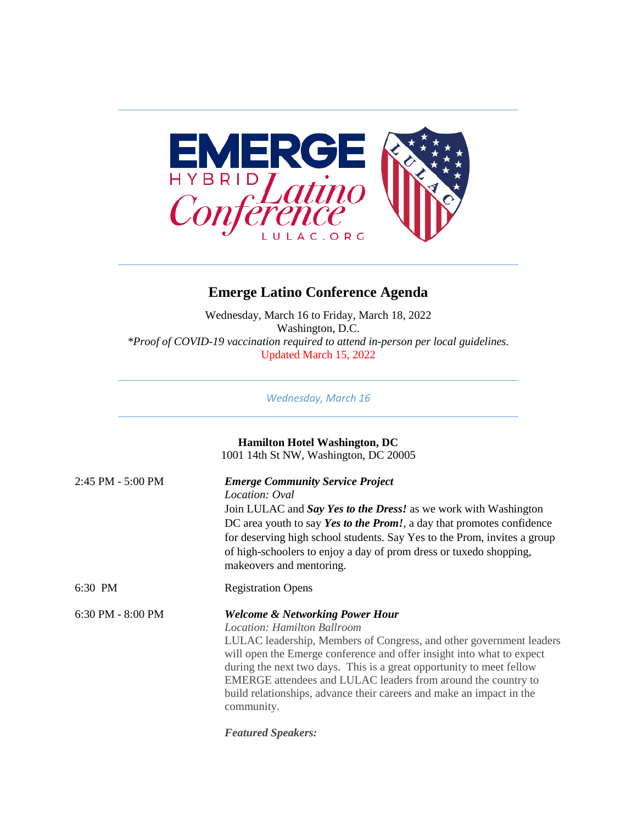

## **Emerge Latino Conference Agenda**

Wednesday, March 16 to Friday, March 18, 2022 Washington, D.C. *\*Proof of COVID-19 vaccination required to attend in-person per local guidelines.*  Updated March 15, 2022

*Wednesday, March 16*

|                   | <b>Hamilton Hotel Washington, DC</b><br>1001 14th St NW, Washington, DC 20005                                                                                                                                                                                                                                                                                                                                                                                   |
|-------------------|-----------------------------------------------------------------------------------------------------------------------------------------------------------------------------------------------------------------------------------------------------------------------------------------------------------------------------------------------------------------------------------------------------------------------------------------------------------------|
| 2:45 PM - 5:00 PM | <b>Emerge Community Service Project</b><br>Location: Oval<br>Join LULAC and Say Yes to the Dress! as we work with Washington<br>DC area youth to say Yes to the Prom!, a day that promotes confidence<br>for deserving high school students. Say Yes to the Prom, invites a group<br>of high-schoolers to enjoy a day of prom dress or tuxedo shopping,<br>makeovers and mentoring.                                                                             |
| 6:30 PM           | <b>Registration Opens</b>                                                                                                                                                                                                                                                                                                                                                                                                                                       |
| 6:30 PM - 8:00 PM | <b>Welcome &amp; Networking Power Hour</b><br><b>Location: Hamilton Ballroom</b><br>LULAC leadership, Members of Congress, and other government leaders<br>will open the Emerge conference and offer insight into what to expect<br>during the next two days. This is a great opportunity to meet fellow<br>EMERGE attendees and LULAC leaders from around the country to<br>build relationships, advance their careers and make an impact in the<br>community. |

*Featured Speakers:*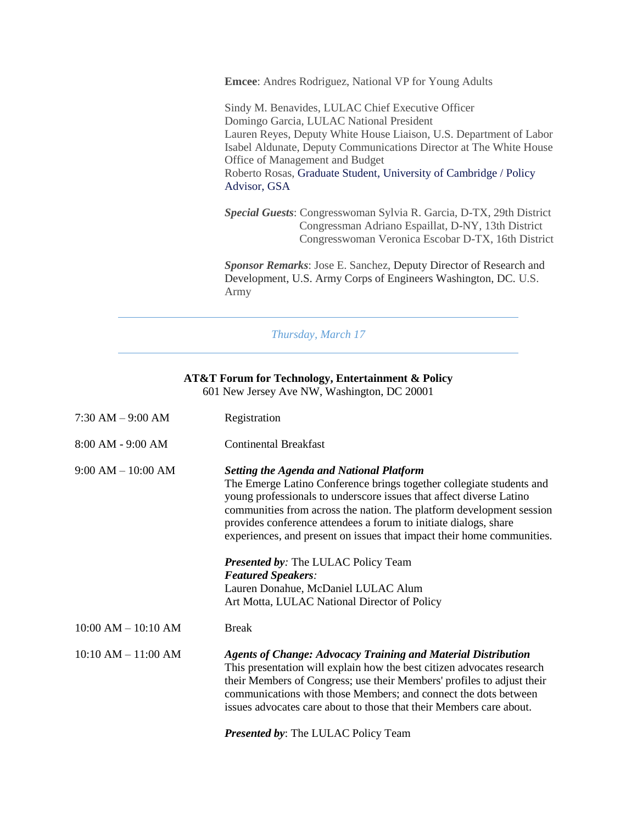**Emcee**: Andres Rodriguez, National VP for Young Adults

Sindy M. Benavides, LULAC Chief Executive Officer Domingo Garcia, LULAC National President Lauren Reyes, Deputy White House Liaison, U.S. Department of Labor Isabel Aldunate, Deputy Communications Director at The White House Office of Management and Budget Roberto Rosas, Graduate Student, University of Cambridge / Policy Advisor, GSA

*Special Guests*: Congresswoman Sylvia R. Garcia, D-TX, 29th District Congressman Adriano Espaillat, D-NY, 13th District Congresswoman Veronica Escobar D-TX, 16th District

*Sponsor Remarks*: Jose E. Sanchez, Deputy Director of Research and Development, U.S. Army Corps of Engineers Washington, DC. U.S. Army

*Thursday, March 17*

## **AT&T Forum for Technology, Entertainment & Policy** 601 New Jersey Ave NW, Washington, DC 20001

| $7:30$ AM $-9:00$ AM    | Registration                                                                                                                                                                                                                                                                                                                                                                                                                                                                                                                                                                           |
|-------------------------|----------------------------------------------------------------------------------------------------------------------------------------------------------------------------------------------------------------------------------------------------------------------------------------------------------------------------------------------------------------------------------------------------------------------------------------------------------------------------------------------------------------------------------------------------------------------------------------|
| $8:00$ AM - $9:00$ AM   | <b>Continental Breakfast</b>                                                                                                                                                                                                                                                                                                                                                                                                                                                                                                                                                           |
| $9:00 AM - 10:00 AM$    | <b>Setting the Agenda and National Platform</b><br>The Emerge Latino Conference brings together collegiate students and<br>young professionals to underscore issues that affect diverse Latino<br>communities from across the nation. The platform development session<br>provides conference attendees a forum to initiate dialogs, share<br>experiences, and present on issues that impact their home communities.<br><b>Presented by: The LULAC Policy Team</b><br><b>Featured Speakers:</b><br>Lauren Donahue, McDaniel LULAC Alum<br>Art Motta, LULAC National Director of Policy |
| $10:00$ AM $- 10:10$ AM | <b>Break</b>                                                                                                                                                                                                                                                                                                                                                                                                                                                                                                                                                                           |
| $10:10 AM - 11:00 AM$   | <b>Agents of Change: Advocacy Training and Material Distribution</b><br>This presentation will explain how the best citizen advocates research<br>their Members of Congress; use their Members' profiles to adjust their<br>communications with those Members; and connect the dots between<br>issues advocates care about to those that their Members care about.                                                                                                                                                                                                                     |

*Presented by*: The LULAC Policy Team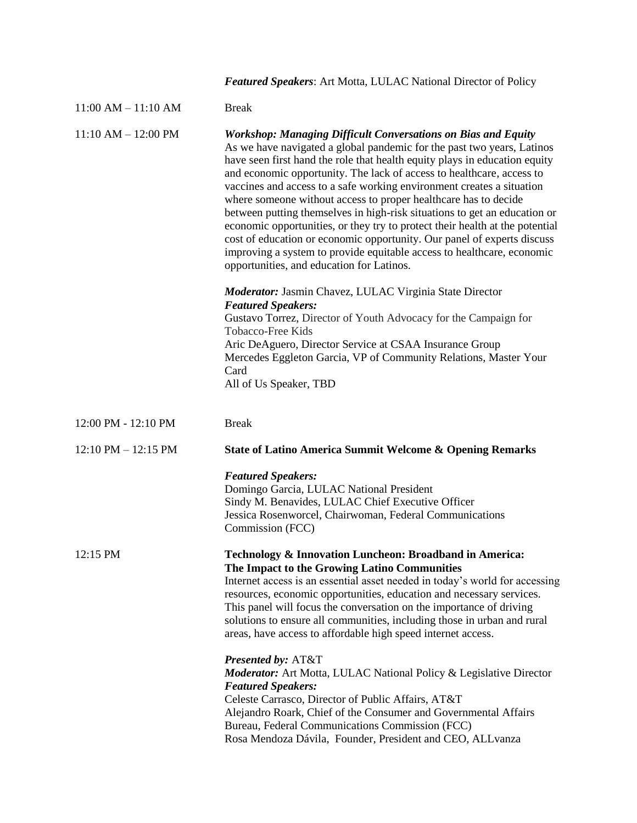|                         | <b>Featured Speakers:</b> Art Motta, LULAC National Director of Policy                                                                                                                                                                                                                                                                                                                                                                                                                                                                                                                                                                                                                                                                                                                                           |
|-------------------------|------------------------------------------------------------------------------------------------------------------------------------------------------------------------------------------------------------------------------------------------------------------------------------------------------------------------------------------------------------------------------------------------------------------------------------------------------------------------------------------------------------------------------------------------------------------------------------------------------------------------------------------------------------------------------------------------------------------------------------------------------------------------------------------------------------------|
| $11:00$ AM $- 11:10$ AM | <b>Break</b>                                                                                                                                                                                                                                                                                                                                                                                                                                                                                                                                                                                                                                                                                                                                                                                                     |
| $11:10 AM - 12:00 PM$   | <b>Workshop: Managing Difficult Conversations on Bias and Equity</b><br>As we have navigated a global pandemic for the past two years, Latinos<br>have seen first hand the role that health equity plays in education equity<br>and economic opportunity. The lack of access to healthcare, access to<br>vaccines and access to a safe working environment creates a situation<br>where someone without access to proper healthcare has to decide<br>between putting themselves in high-risk situations to get an education or<br>economic opportunities, or they try to protect their health at the potential<br>cost of education or economic opportunity. Our panel of experts discuss<br>improving a system to provide equitable access to healthcare, economic<br>opportunities, and education for Latinos. |
|                         | <b>Moderator:</b> Jasmin Chavez, LULAC Virginia State Director<br><b>Featured Speakers:</b><br>Gustavo Torrez, Director of Youth Advocacy for the Campaign for<br>Tobacco-Free Kids<br>Aric DeAguero, Director Service at CSAA Insurance Group<br>Mercedes Eggleton Garcia, VP of Community Relations, Master Your<br>Card<br>All of Us Speaker, TBD                                                                                                                                                                                                                                                                                                                                                                                                                                                             |
| 12:00 PM - 12:10 PM     | <b>Break</b>                                                                                                                                                                                                                                                                                                                                                                                                                                                                                                                                                                                                                                                                                                                                                                                                     |
| $12:10$ PM $- 12:15$ PM | <b>State of Latino America Summit Welcome &amp; Opening Remarks</b>                                                                                                                                                                                                                                                                                                                                                                                                                                                                                                                                                                                                                                                                                                                                              |
|                         | <b>Featured Speakers:</b><br>Domingo Garcia, LULAC National President<br>Sindy M. Benavides, LULAC Chief Executive Officer<br>Jessica Rosenworcel, Chairwoman, Federal Communications<br>Commission (FCC)                                                                                                                                                                                                                                                                                                                                                                                                                                                                                                                                                                                                        |
| 12:15 PM                | Technology & Innovation Luncheon: Broadband in America:<br>The Impact to the Growing Latino Communities<br>Internet access is an essential asset needed in today's world for accessing<br>resources, economic opportunities, education and necessary services.<br>This panel will focus the conversation on the importance of driving<br>solutions to ensure all communities, including those in urban and rural<br>areas, have access to affordable high speed internet access.                                                                                                                                                                                                                                                                                                                                 |
|                         | <b>Presented by: AT&amp;T</b><br><b>Moderator:</b> Art Motta, LULAC National Policy & Legislative Director<br><b>Featured Speakers:</b><br>Celeste Carrasco, Director of Public Affairs, AT&T<br>Alejandro Roark, Chief of the Consumer and Governmental Affairs<br>Bureau, Federal Communications Commission (FCC)<br>Rosa Mendoza Dávila, Founder, President and CEO, ALLvanza                                                                                                                                                                                                                                                                                                                                                                                                                                 |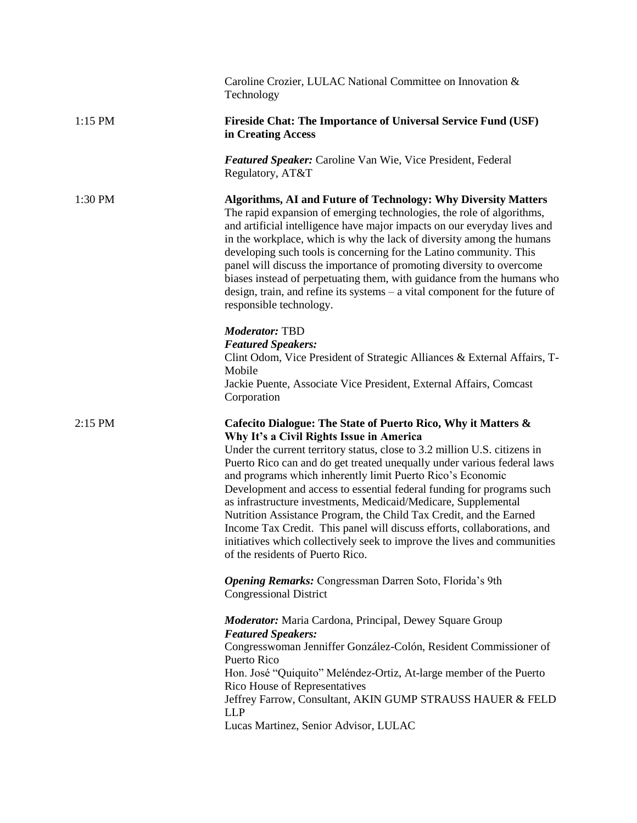| Caroline Crozier, LULAC National Committee on Innovation &<br>Technology                                                                                                                                                                                                                                                                                                                                                                                                                                                                                                                                                                                                                                                                    |
|---------------------------------------------------------------------------------------------------------------------------------------------------------------------------------------------------------------------------------------------------------------------------------------------------------------------------------------------------------------------------------------------------------------------------------------------------------------------------------------------------------------------------------------------------------------------------------------------------------------------------------------------------------------------------------------------------------------------------------------------|
| <b>Fireside Chat: The Importance of Universal Service Fund (USF)</b><br>in Creating Access                                                                                                                                                                                                                                                                                                                                                                                                                                                                                                                                                                                                                                                  |
| <b>Featured Speaker:</b> Caroline Van Wie, Vice President, Federal<br>Regulatory, AT&T                                                                                                                                                                                                                                                                                                                                                                                                                                                                                                                                                                                                                                                      |
| Algorithms, AI and Future of Technology: Why Diversity Matters<br>The rapid expansion of emerging technologies, the role of algorithms,<br>and artificial intelligence have major impacts on our everyday lives and<br>in the workplace, which is why the lack of diversity among the humans<br>developing such tools is concerning for the Latino community. This<br>panel will discuss the importance of promoting diversity to overcome<br>biases instead of perpetuating them, with guidance from the humans who<br>design, train, and refine its systems $-$ a vital component for the future of<br>responsible technology.                                                                                                            |
| Moderator: TBD<br><b>Featured Speakers:</b><br>Clint Odom, Vice President of Strategic Alliances & External Affairs, T-<br>Mobile<br>Jackie Puente, Associate Vice President, External Affairs, Comcast<br>Corporation                                                                                                                                                                                                                                                                                                                                                                                                                                                                                                                      |
| Cafecito Dialogue: The State of Puerto Rico, Why it Matters &<br>Why It's a Civil Rights Issue in America<br>Under the current territory status, close to 3.2 million U.S. citizens in<br>Puerto Rico can and do get treated unequally under various federal laws<br>and programs which inherently limit Puerto Rico's Economic<br>Development and access to essential federal funding for programs such<br>as infrastructure investments, Medicaid/Medicare, Supplemental<br>Nutrition Assistance Program, the Child Tax Credit, and the Earned<br>Income Tax Credit. This panel will discuss efforts, collaborations, and<br>initiatives which collectively seek to improve the lives and communities<br>of the residents of Puerto Rico. |
| <b>Opening Remarks:</b> Congressman Darren Soto, Florida's 9th<br><b>Congressional District</b>                                                                                                                                                                                                                                                                                                                                                                                                                                                                                                                                                                                                                                             |
| <b>Moderator:</b> Maria Cardona, Principal, Dewey Square Group<br><b>Featured Speakers:</b><br>Congresswoman Jenniffer González-Colón, Resident Commissioner of<br>Puerto Rico<br>Hon. José "Quiquito" Meléndez-Ortiz, At-large member of the Puerto<br>Rico House of Representatives<br>Jeffrey Farrow, Consultant, AKIN GUMP STRAUSS HAUER & FELD<br><b>LLP</b><br>Lucas Martinez, Senior Advisor, LULAC                                                                                                                                                                                                                                                                                                                                  |
|                                                                                                                                                                                                                                                                                                                                                                                                                                                                                                                                                                                                                                                                                                                                             |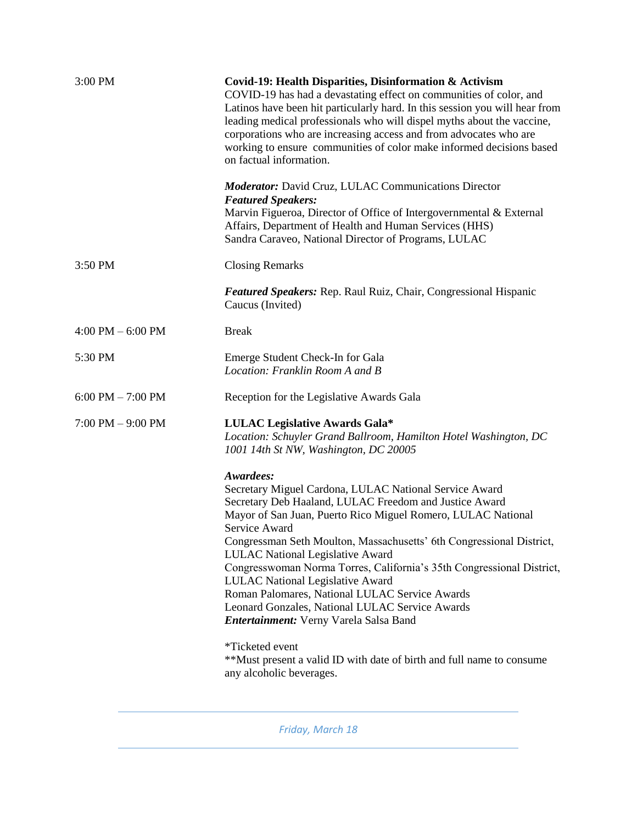| 3:00 PM              | Covid-19: Health Disparities, Disinformation & Activism<br>COVID-19 has had a devastating effect on communities of color, and<br>Latinos have been hit particularly hard. In this session you will hear from<br>leading medical professionals who will dispel myths about the vaccine,<br>corporations who are increasing access and from advocates who are<br>working to ensure communities of color make informed decisions based<br>on factual information.                                                                                                                                                                                                                                                               |
|----------------------|------------------------------------------------------------------------------------------------------------------------------------------------------------------------------------------------------------------------------------------------------------------------------------------------------------------------------------------------------------------------------------------------------------------------------------------------------------------------------------------------------------------------------------------------------------------------------------------------------------------------------------------------------------------------------------------------------------------------------|
|                      | <b>Moderator:</b> David Cruz, LULAC Communications Director<br><b>Featured Speakers:</b><br>Marvin Figueroa, Director of Office of Intergovernmental & External<br>Affairs, Department of Health and Human Services (HHS)<br>Sandra Caraveo, National Director of Programs, LULAC                                                                                                                                                                                                                                                                                                                                                                                                                                            |
| $3:50$ PM            | <b>Closing Remarks</b>                                                                                                                                                                                                                                                                                                                                                                                                                                                                                                                                                                                                                                                                                                       |
|                      | Featured Speakers: Rep. Raul Ruiz, Chair, Congressional Hispanic<br>Caucus (Invited)                                                                                                                                                                                                                                                                                                                                                                                                                                                                                                                                                                                                                                         |
| $4:00$ PM $-6:00$ PM | <b>Break</b>                                                                                                                                                                                                                                                                                                                                                                                                                                                                                                                                                                                                                                                                                                                 |
| 5:30 PM              | Emerge Student Check-In for Gala<br>Location: Franklin Room A and B                                                                                                                                                                                                                                                                                                                                                                                                                                                                                                                                                                                                                                                          |
| $6:00$ PM $-7:00$ PM | Reception for the Legislative Awards Gala                                                                                                                                                                                                                                                                                                                                                                                                                                                                                                                                                                                                                                                                                    |
| $7:00$ PM $-9:00$ PM | <b>LULAC Legislative Awards Gala*</b><br>Location: Schuyler Grand Ballroom, Hamilton Hotel Washington, DC<br>1001 14th St NW, Washington, DC 20005                                                                                                                                                                                                                                                                                                                                                                                                                                                                                                                                                                           |
|                      | Awardees:<br>Secretary Miguel Cardona, LULAC National Service Award<br>Secretary Deb Haaland, LULAC Freedom and Justice Award<br>Mayor of San Juan, Puerto Rico Miguel Romero, LULAC National<br>Service Award<br>Congressman Seth Moulton, Massachusetts' 6th Congressional District,<br><b>LULAC National Legislative Award</b><br>Congresswoman Norma Torres, California's 35th Congressional District,<br>LULAC National Legislative Award<br>Roman Palomares, National LULAC Service Awards<br>Leonard Gonzales, National LULAC Service Awards<br><b>Entertainment:</b> Verny Varela Salsa Band<br>*Ticketed event<br>**Must present a valid ID with date of birth and full name to consume<br>any alcoholic beverages. |